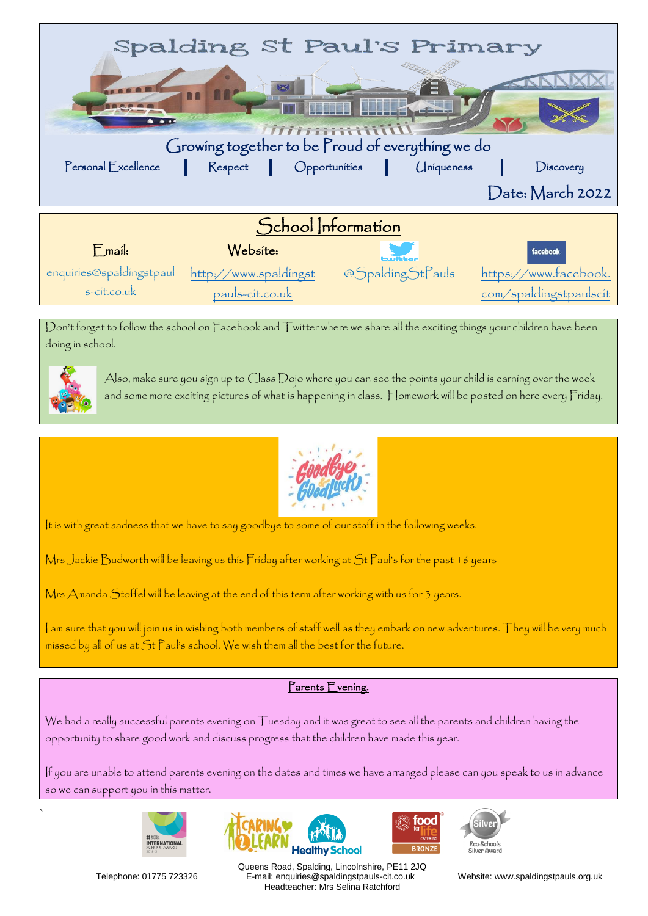

Don't forget to follow the school on Facebook and Twitter where we share all the exciting things your children have been doing in school.



`

Also, make sure you sign up to Class Dojo where you can see the points your child is earning over the week and some more exciting pictures of what is happening in class. Homework will be posted on here every Friday.



It is with great sadness that we have to say goodbye to some of our staff in the following weeks.

Mrs Jackie Budworth will be leaving us this Friday after working at St Paul's for the past 16 years

Mrs Amanda Stoffel will be leaving at the end of this term after working with us for 3 years.

I am sure that you will join us in wishing both members of staff well as they embark on new adventures. They will be very much missed by all of us at St Paul's school. We wish them all the best for the future.

#### Parents Evening.

We had a really successful parents evening on Tuesday and it was great to see all the parents and children having the opportunity to share good work and discuss progress that the children have made this year.

If you are unable to attend parents evening on the dates and times we have arranged please can you speak to us in advance so we can support you in this matter.









Queens Road, Spalding, Lincolnshire, PE11 2JQ Telephone: 01775 723326 E-mail: enquiries@spaldingstpauls-cit.co.uk Website: www.spaldingstpauls.org.uk Headteacher: Mrs Selina Ratchford